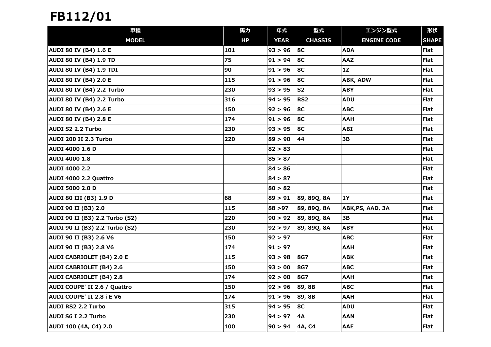| 車種                               | 馬力  | 年式          | 型式              | エンジン型式             | 形状           |
|----------------------------------|-----|-------------|-----------------|--------------------|--------------|
| <b>MODEL</b>                     | HP  | <b>YEAR</b> | <b>CHASSIS</b>  | <b>ENGINE CODE</b> | <b>SHAPE</b> |
| <b>AUDI 80 IV (B4) 1.6 E</b>     | 101 | 93 > 96     | 8C              | <b>ADA</b>         | <b>Flat</b>  |
| <b>AUDI 80 IV (B4) 1.9 TD</b>    | 75  | 91 > 94     | 8C              | AAZ                | <b>Flat</b>  |
| <b>AUDI 80 IV (B4) 1.9 TDI</b>   | 90  | 91 > 96     | <b>8C</b>       | 1Z                 | <b>Flat</b>  |
| <b>AUDI 80 IV (B4) 2.0 E</b>     | 115 | 91 > 96     | 8C              | ABK, ADW           | <b>Flat</b>  |
| AUDI 80 IV (B4) 2.2 Turbo        | 230 | 93 > 95     | S <sub>2</sub>  | <b>ABY</b>         | Flat         |
| AUDI 80 IV (B4) 2.2 Turbo        | 316 | 94 > 95     | RS <sub>2</sub> | <b>ADU</b>         | <b>Flat</b>  |
| <b>AUDI 80 IV (B4) 2.6 E</b>     | 150 | 92 > 96     | 8C              | <b>ABC</b>         | <b>Flat</b>  |
| <b>AUDI 80 IV (B4) 2.8 E</b>     | 174 | 91 > 96     | 8C              | <b>AAH</b>         | Flat         |
| <b>AUDI S2 2.2 Turbo</b>         | 230 | 93 > 95     | 8C              | <b>ABI</b>         | <b>Flat</b>  |
| AUDI 200 II 2.3 Turbo            | 220 | 89 > 90     | 44              | 3B                 | Flat         |
| <b>AUDI 4000 1.6 D</b>           |     | 82 > 83     |                 |                    | <b>Flat</b>  |
| <b>AUDI 4000 1.8</b>             |     | 85 > 87     |                 |                    | <b>Flat</b>  |
| <b>AUDI 4000 2.2</b>             |     | 84 > 86     |                 |                    | <b>Flat</b>  |
| AUDI 4000 2.2 Quattro            |     | 84 > 87     |                 |                    | <b>Flat</b>  |
| <b>AUDI 5000 2.0 D</b>           |     | 80 > 82     |                 |                    | <b>Flat</b>  |
| <b>AUDI 80 III (B3) 1.9 D</b>    | 68  | 89 > 91     | 89, 89Q, 8A     | 1Y                 | <b>Flat</b>  |
| <b>AUDI 90 II (B3) 2.0</b>       | 115 | 88 > 97     | 89, 89Q, 8A     | ABK, PS, AAD, 3A   | <b>Flat</b>  |
| AUDI 90 II (B3) 2.2 Turbo (S2)   | 220 | 90 > 92     | 89, 89Q, 8A     | 3B                 | <b>Flat</b>  |
| AUDI 90 II (B3) 2.2 Turbo (S2)   | 230 | 92 > 97     | 89, 89Q, 8A     | <b>ABY</b>         | <b>Flat</b>  |
| <b>AUDI 90 II (B3) 2.6 V6</b>    | 150 | 92 > 97     |                 | <b>ABC</b>         | <b>Flat</b>  |
| <b>AUDI 90 II (B3) 2.8 V6</b>    | 174 | 91 > 97     |                 | <b>AAH</b>         | <b>Flat</b>  |
| <b>AUDI CABRIOLET (B4) 2.0 E</b> | 115 | 93 > 98     | <b>8G7</b>      | <b>ABK</b>         | Flat         |
| <b>AUDI CABRIOLET (B4) 2.6</b>   | 150 | 93 > 00     | <b>8G7</b>      | <b>ABC</b>         | <b>Flat</b>  |
| <b>AUDI CABRIOLET (B4) 2.8</b>   | 174 | 92 > 00     | <b>8G7</b>      | <b>AAH</b>         | Flat         |
| AUDI COUPE' II 2.6 / Quattro     | 150 | 92 > 96     | 89, 8B          | <b>ABC</b>         | Flat         |
| <b>AUDI COUPE' II 2.8 i E V6</b> | 174 | 91 > 96     | 89, 8B          | <b>AAH</b>         | <b>Flat</b>  |
| <b>AUDI RS2 2.2 Turbo</b>        | 315 | 94 > 95     | 8C              | <b>ADU</b>         | Flat         |
| AUDI S6 I 2.2 Turbo              | 230 | 94 > 97     | <b>4A</b>       | <b>AAN</b>         | <b>Flat</b>  |
| AUDI 100 (4A, C4) 2.0            | 100 | 90 > 94     | 4A, C4          | AAE                | <b>Flat</b>  |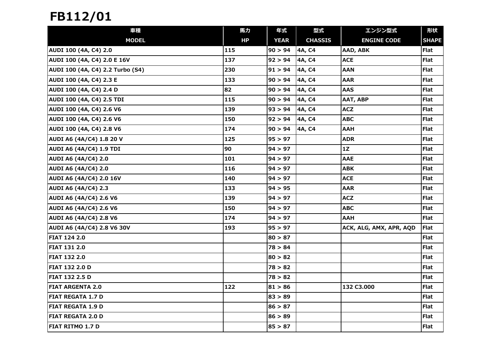| 車種                               | 馬力  | 年式          | 型式             | エンジン型式                  | 形状           |
|----------------------------------|-----|-------------|----------------|-------------------------|--------------|
| <b>MODEL</b>                     | HP  | <b>YEAR</b> | <b>CHASSIS</b> | <b>ENGINE CODE</b>      | <b>SHAPE</b> |
| AUDI 100 (4A, C4) 2.0            | 115 | 90 > 94     | 4A, C4         | AAD, ABK                | <b>Flat</b>  |
| AUDI 100 (4A, C4) 2.0 E 16V      | 137 | 92 > 94     | 4A, C4         | <b>ACE</b>              | <b>Flat</b>  |
| AUDI 100 (4A, C4) 2.2 Turbo (S4) | 230 | 91 > 94     | 4A, C4         | <b>AAN</b>              | Flat         |
| AUDI 100 (4A, C4) 2.3 E          | 133 | 90 > 94     | 4A, C4         | <b>AAR</b>              | Flat         |
| AUDI 100 (4A, C4) 2.4 D          | 82  | 90 > 94     | 4A, C4         | <b>AAS</b>              | <b>Flat</b>  |
| AUDI 100 (4A, C4) 2.5 TDI        | 115 | 90 > 94     | 4A, C4         | AAT, ABP                | Flat         |
| AUDI 100 (4A, C4) 2.6 V6         | 139 | 93 > 94     | 4A, C4         | <b>ACZ</b>              | <b>Flat</b>  |
| AUDI 100 (4A, C4) 2.6 V6         | 150 | 92 > 94     | 4A, C4         | <b>ABC</b>              | Flat         |
| AUDI 100 (4A, C4) 2.8 V6         | 174 | 90 > 94     | 4A, C4         | <b>AAH</b>              | <b>Flat</b>  |
| AUDI A6 (4A/C4) 1.8 20 V         | 125 | 95 > 97     |                | <b>ADR</b>              | Flat         |
| <b>AUDI A6 (4A/C4) 1.9 TDI</b>   | 90  | 94 > 97     |                | 1Z                      | Flat         |
| <b>AUDI A6 (4A/C4) 2.0</b>       | 101 | 94 > 97     |                | <b>AAE</b>              | Flat         |
| <b>AUDI A6 (4A/C4) 2.0</b>       | 116 | 94 > 97     |                | <b>ABK</b>              | Flat         |
| <b>AUDI A6 (4A/C4) 2.0 16V</b>   | 140 | 94 > 97     |                | <b>ACE</b>              | <b>Flat</b>  |
| <b>AUDI A6 (4A/C4) 2.3</b>       | 133 | 94 > 95     |                | <b>AAR</b>              | <b>Flat</b>  |
| <b>AUDI A6 (4A/C4) 2.6 V6</b>    | 139 | 94 > 97     |                | <b>ACZ</b>              | Flat         |
| <b>AUDI A6 (4A/C4) 2.6 V6</b>    | 150 | 94 > 97     |                | <b>ABC</b>              | <b>Flat</b>  |
| <b>AUDI A6 (4A/C4) 2.8 V6</b>    | 174 | 94 > 97     |                | <b>AAH</b>              | <b>Flat</b>  |
| AUDI A6 (4A/C4) 2.8 V6 30V       | 193 | 95 > 97     |                | ACK, ALG, AMX, APR, AQD | <b>Flat</b>  |
| <b>FIAT 124 2.0</b>              |     | 80 > 87     |                |                         | <b>Flat</b>  |
| <b>FIAT 131 2.0</b>              |     | 78 > 84     |                |                         | <b>Flat</b>  |
| <b>FIAT 132 2.0</b>              |     | 80 > 82     |                |                         | Flat         |
| <b>FIAT 132 2.0 D</b>            |     | 78 > 82     |                |                         | <b>Flat</b>  |
| <b>FIAT 132 2.5 D</b>            |     | 78 > 82     |                |                         | Flat         |
| <b>FIAT ARGENTA 2.0</b>          | 122 | 81 > 86     |                | 132 C3.000              | <b>Flat</b>  |
| <b>FIAT REGATA 1.7 D</b>         |     | 83 > 89     |                |                         | Flat         |
| <b>FIAT REGATA 1.9 D</b>         |     | 86 > 87     |                |                         | <b>Flat</b>  |
| <b>FIAT REGATA 2.0 D</b>         |     | 86 > 89     |                |                         | <b>Flat</b>  |
| <b>FIAT RITMO 1.7 D</b>          |     | 85 > 87     |                |                         | <b>Flat</b>  |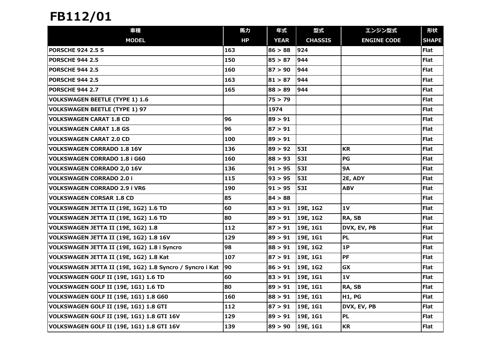| 車種                                                       | 馬力           | 年式          | 型式             | エンジン型式             | 形状           |
|----------------------------------------------------------|--------------|-------------|----------------|--------------------|--------------|
| <b>MODEL</b>                                             | HP           | <b>YEAR</b> | <b>CHASSIS</b> | <b>ENGINE CODE</b> | <b>SHAPE</b> |
| <b>PORSCHE 924 2.5 S</b>                                 | 163          | 86 > 88     | 924            |                    | <b>Flat</b>  |
| <b>PORSCHE 944 2.5</b>                                   | 150          | 85 > 87     | 944            |                    | <b>Flat</b>  |
| <b>PORSCHE 944 2.5</b>                                   | 160          | 87 > 90     | 944            |                    | Flat         |
| <b>PORSCHE 944 2.5</b>                                   | 163          | 81 > 87     | 944            |                    | Flat         |
| <b>PORSCHE 944 2.7</b>                                   | 165          | 88 > 89     | 944            |                    | <b>Flat</b>  |
| <b>VOLKSWAGEN BEETLE (TYPE 1) 1.6</b>                    |              | 75 > 79     |                |                    | Flat         |
| <b>VOLKSWAGEN BEETLE (TYPE 1) 97</b>                     |              | 1974        |                |                    | <b>Flat</b>  |
| <b>VOLKSWAGEN CARAT 1.8 CD</b>                           | 96           | 89 > 91     |                |                    | <b>Flat</b>  |
| <b>VOLKSWAGEN CARAT 1.8 GS</b>                           | 96           | 87 > 91     |                |                    | <b>Flat</b>  |
| <b>VOLKSWAGEN CARAT 2.0 CD</b>                           | 100          | 89 > 91     |                |                    | Flat         |
| <b>VOLKSWAGEN CORRADO 1.8 16V</b>                        | 136          | 89 > 92     | 531            | <b>KR</b>          | Flat         |
| <b>VOLKSWAGEN CORRADO 1.8 i G60</b>                      | 160          | 88 > 93     | 531            | PG                 | Flat         |
| <b>VOLKSWAGEN CORRADO 2,0 16V</b>                        | 136          | 91 > 95     | 531            | <b>9A</b>          | <b>Flat</b>  |
| <b>VOLKSWAGEN CORRADO 2.0 i</b>                          | 115          | 93 > 95     | 531            | 2E, ADY            | <b>Flat</b>  |
| <b>VOLKSWAGEN CORRADO 2.9 i VR6</b>                      | 190          | 91 > 95     | 531            | <b>ABV</b>         | Flat         |
| <b>VOLKSWAGEN CORSAR 1.8 CD</b>                          | 85           | 84 > 88     |                |                    | Flat         |
| VOLKSWAGEN JETTA II (19E, 1G2) 1.6 TD                    | 60           | 83 > 91     | 19E, 1G2       | 1V                 | <b>Flat</b>  |
| VOLKSWAGEN JETTA II (19E, 1G2) 1.6 TD                    | 80           | 89 > 91     | 19E, 1G2       | RA, SB             | <b>Flat</b>  |
| VOLKSWAGEN JETTA II (19E, 1G2) 1.8                       | 112          | 87 > 91     | 19E, 1G1       | DVX, EV, PB        | <b>Flat</b>  |
| VOLKSWAGEN JETTA II (19E, 1G2) 1.8 16V                   | 129          | 89 > 91     | 19E, 1G1       | <b>PL</b>          | Flat         |
| VOLKSWAGEN JETTA II (19E, 1G2) 1.8 i Syncro              | 98           | 88 > 91     | 19E, 1G2       | 1P                 | Flat         |
| VOLKSWAGEN JETTA II (19E, 1G2) 1.8 Kat                   | 107          | 87 > 91     | 19E, 1G1       | <b>PF</b>          | <b>Flat</b>  |
| VOLKSWAGEN JETTA II (19E, 1G2) 1.8 Syncro / Syncro i Kat | $ 90\rangle$ | 86 > 91     | 19E, 1G2       | <b>GX</b>          | Flat         |
| VOLKSWAGEN GOLF II (19E, 1G1) 1.6 TD                     | 60           | 83 > 91     | 19E, 1G1       | 1V                 | Flat         |
| VOLKSWAGEN GOLF II (19E, 1G1) 1.6 TD                     | 80           | 89 > 91     | 19E, 1G1       | RA, SB             | Flat         |
| VOLKSWAGEN GOLF II (19E, 1G1) 1.8 G60                    | 160          | 88 > 91     | 19E, 1G1       | <b>H1, PG</b>      | <b>Flat</b>  |
| VOLKSWAGEN GOLF II (19E, 1G1) 1.8 GTI                    | 112          | 87 > 91     | 19E, 1G1       | DVX, EV, PB        | Flat         |
| VOLKSWAGEN GOLF II (19E, 1G1) 1.8 GTI 16V                | 129          | 89 > 91     | 19E, 1G1       | <b>PL</b>          | Flat         |
| VOLKSWAGEN GOLF II (19E, 1G1) 1.8 GTI 16V                | 139          | 89 > 90     | 19E, 1G1       | <b>KR</b>          | <b>Flat</b>  |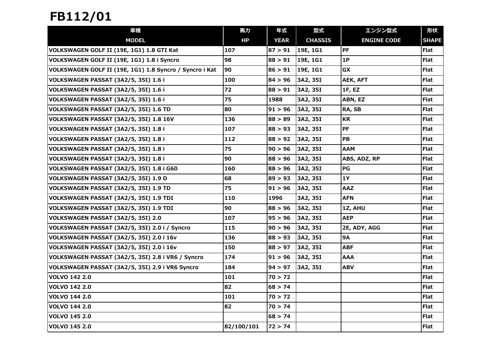| 車種                                                      | 馬力         | 年式          | 型式             | エンジン型式             | 形状           |
|---------------------------------------------------------|------------|-------------|----------------|--------------------|--------------|
| <b>MODEL</b>                                            | HP         | <b>YEAR</b> | <b>CHASSIS</b> | <b>ENGINE CODE</b> | <b>SHAPE</b> |
| VOLKSWAGEN GOLF II (19E, 1G1) 1.8 GTI Kat               | 107        | 87 > 91     | 19E, 1G1       | PF                 | <b>Flat</b>  |
| VOLKSWAGEN GOLF II (19E, 1G1) 1.8 i Syncro              | 98         | 88 > 91     | 19E, 1G1       | 1P                 | Flat         |
| VOLKSWAGEN GOLF II (19E, 1G1) 1.8 Syncro / Syncro i Kat | 90         | 86 > 91     | 19E, 1G1       | GX                 | <b>Flat</b>  |
| VOLKSWAGEN PASSAT (3A2/5, 35I) 1.6 i                    | 100        | 84 > 96     | 3A2, 35I       | AEK, AFT           | Flat         |
| VOLKSWAGEN PASSAT (3A2/5, 35I) 1.6 i                    | 72         | 88 > 91     | 3A2, 35I       | 1F, EZ             | <b>Flat</b>  |
| VOLKSWAGEN PASSAT (3A2/5, 35I) 1.6 i                    | 75         | 1988        | 3A2, 35I       | ABN, EZ            | Flat         |
| VOLKSWAGEN PASSAT (3A2/5, 35I) 1.6 TD                   | 80         | 91 > 96     | 3A2, 35I       | RA, SB             | Flat         |
| VOLKSWAGEN PASSAT (3A2/5, 35I) 1.8 16V                  | 136        | 88 > 89     | 3A2, 35I       | <b>KR</b>          | Flat         |
| VOLKSWAGEN PASSAT (3A2/5, 35I) 1.8 i                    | 107        | 88 > 93     | 3A2, 35I       | <b>PF</b>          | <b>Flat</b>  |
| VOLKSWAGEN PASSAT (3A2/5, 35I) 1.8 i                    | 112        | 88 > 92     | 3A2, 35I       | PB                 | <b>Flat</b>  |
| VOLKSWAGEN PASSAT (3A2/5, 35I) 1.8 i                    | 75         | 90 > 96     | 3A2, 35I       | <b>AAM</b>         | <b>Flat</b>  |
| VOLKSWAGEN PASSAT (3A2/5, 35I) 1.8 i                    | 90         | 88 > 96     | 3A2, 35I       | ABS, ADZ, RP       | <b>Flat</b>  |
| VOLKSWAGEN PASSAT (3A2/5, 35I) 1.8 i G60                | 160        | 88 > 96     | 3A2, 35I       | PG                 | Flat         |
| VOLKSWAGEN PASSAT (3A2/5, 35I) 1.9 D                    | 68         | 89 > 93     | 3A2, 35I       | <b>1Y</b>          | <b>Flat</b>  |
| VOLKSWAGEN PASSAT (3A2/5, 35I) 1.9 TD                   | 75         | 91 > 96     | 3A2, 35I       | <b>AAZ</b>         | <b>Flat</b>  |
| VOLKSWAGEN PASSAT (3A2/5, 35I) 1.9 TDI                  | 110        | 1996        | 3A2, 35I       | <b>AFN</b>         | Flat         |
| VOLKSWAGEN PASSAT (3A2/5, 35I) 1.9 TDI                  | 90         | 88 > 96     | 3A2, 35I       | 1Z, AHU            | <b>Flat</b>  |
| VOLKSWAGEN PASSAT (3A2/5, 35I) 2.0                      | 107        | 95 > 96     | 3A2, 35I       | <b>AEP</b>         | Flat         |
| VOLKSWAGEN PASSAT (3A2/5, 35I) 2.0 i / Syncro           | 115        | 90 > 96     | 3A2, 35I       | 2E, ADY, AGG       | <b>Flat</b>  |
| VOLKSWAGEN PASSAT (3A2/5, 35I) 2.0 i 16v                | 136        | 88 > 93     | 3A2, 35I       | 9Α                 | <b>Flat</b>  |
| VOLKSWAGEN PASSAT (3A2/5, 35I) 2.0 i 16v                | 150        | 88 > 97     | 3A2, 35I       | <b>ABF</b>         | Flat         |
| VOLKSWAGEN PASSAT (3A2/5, 35I) 2.8 i VR6 / Syncro       | 174        | 91 > 96     | 3A2, 35I       | AAA                | <b>Flat</b>  |
| VOLKSWAGEN PASSAT (3A2/5, 35I) 2.9 i VR6 Syncro         | 184        | 94 > 97     | 3A2, 35I       | <b>ABV</b>         | Flat         |
| <b>VOLVO 142 2.0</b>                                    | 101        | 70 > 72     |                |                    | Flat         |
| <b>VOLVO 142 2.0</b>                                    | 82         | 68 > 74     |                |                    | Flat         |
| <b>VOLVO 144 2.0</b>                                    | 101        | 70 > 72     |                |                    | <b>Flat</b>  |
| <b>VOLVO 144 2.0</b>                                    | 82         | 70 > 74     |                |                    | <b>Flat</b>  |
| <b>VOLVO 145 2.0</b>                                    |            | 68 > 74     |                |                    | <b>Flat</b>  |
| <b>VOLVO 145 2.0</b>                                    | 82/100/101 | 72 > 74     |                |                    | Flat         |